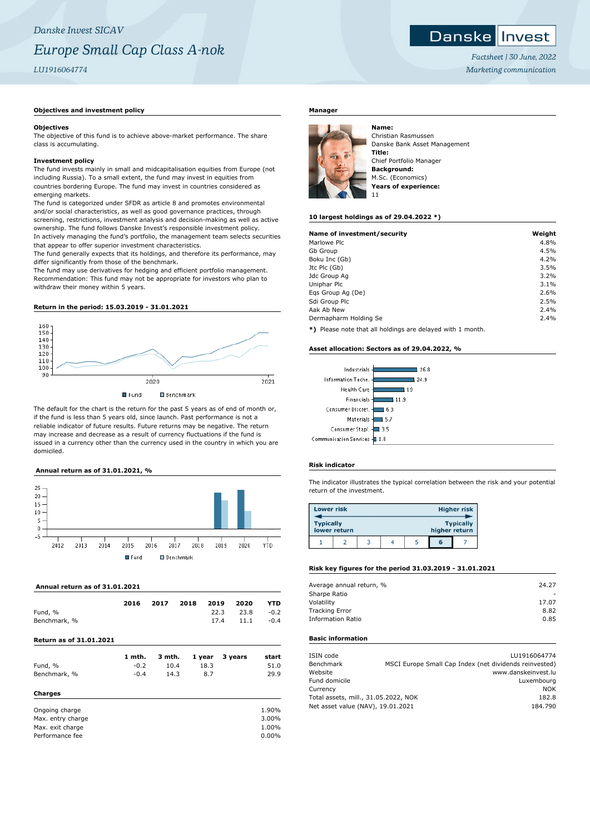## **Objectives and investment policy**

#### **Objectives**

The objective of this fund is to achieve above-market performance. The share class is accumulating.

#### **Investment policy**

The fund invests mainly in small and midcapitalisation equities from Europe (not including Russia). To a small extent, the fund may invest in equities from countries bordering Europe. The fund may invest in countries considered as emerging markets.

The fund is categorized under SFDR as article 8 and promotes environmental and/or social characteristics, as well as good governance practices, through screening, restrictions, investment analysis and decision-making as well as active ownership. The fund follows Danske Invest's responsible investment policy. In actively managing the fund's portfolio, the management team selects securities that appear to offer superior investment characteristics.

The fund generally expects that its holdings, and therefore its performance, may differ significantly from those of the benchmark.

The fund may use derivatives for hedging and efficient portfolio management. Recommendation: This fund may not be appropriate for investors who plan to withdraw their money within 5 years.

### **Return in the period: 15.03.2019 - 31.01.2021**



The default for the chart is the return for the past 5 years as of end of month or, if the fund is less than 5 years old, since launch. Past performance is not a reliable indicator of future results. Future returns may be negative. The return may increase and decrease as a result of currency fluctuations if the fund is issued in a currency other than the currency used in the country in which you are domiciled.

## **Annual return as of 31.01.2021, %**



## **Annual return as of 31.01.2021**

| Fund, %<br>Benchmark, %        | 2016   | 2017   | 2018 | 2019<br>22.3<br>17.4 | 2020<br>23.8<br>11.1 | YTD<br>$-0.2$<br>$-0.4$ |
|--------------------------------|--------|--------|------|----------------------|----------------------|-------------------------|
| <b>Return as of 31.01.2021</b> |        |        |      |                      |                      |                         |
|                                | 1 mth. | 3 mth. |      | 1 year               | 3 years              | start                   |
| Fund, %                        | $-0.2$ | 10.4   |      | 18.3                 |                      | 51.0                    |
| Benchmark, %                   | $-0.4$ | 14.3   |      | 8.7                  |                      | 29.9                    |
| Charges                        |        |        |      |                      |                      |                         |
| Ongoing charge                 |        |        |      |                      |                      | 1.90%                   |
| Max. entry charge              |        |        |      |                      |                      | 3.00%                   |
| Max. exit charge               |        |        |      |                      |                      | 1.00%                   |
| Performance fee                |        |        |      |                      |                      | $0.00\%$                |

# **Manager**



Christian Rasmussen Danske Bank Asset Management **Title:** Chief Portfolio Manager **Background:** M.Sc. (Economics) **Years of experience:** 11

#### **10 largest holdings as of 29.04.2022 \*)**

| Name of investment/security | Weight |
|-----------------------------|--------|
| Marlowe Plc                 | 4.8%   |
| Gb Group                    | 4.5%   |
| Boku Inc (Gb)               | 4.2%   |
| Jtc Plc (Gb)                | 3.5%   |
| Jdc Group Ag                | 3.2%   |
| Uniphar Plc                 | 3.1%   |
| Egs Group Ag (De)           | 2.6%   |
| Sdi Group Plc               | 2.5%   |
| Aak Ab New                  | 2.4%   |
| Dermapharm Holding Se       | 2.4%   |

**\*)** Please note that all holdings are delayed with 1 month.

#### **Asset allocation: Sectors as of 29.04.2022, %**



## **Risk indicator**

The indicator illustrates the typical correlation between the risk and your potential return of the investment.

| <b>Lower risk</b> |              |  |               | Higher risk      |
|-------------------|--------------|--|---------------|------------------|
| <b>Typically</b>  | lower return |  | higher return | <b>Typically</b> |
|                   |              |  | G             |                  |

## **Risk key figures for the period 31.03.2019 - 31.01.2021**

| Average annual return, % | 24.27 |
|--------------------------|-------|
| Sharpe Ratio             |       |
| Volatility               | 17.07 |
| <b>Tracking Error</b>    | 8.82  |
| <b>Information Ratio</b> | 0.85  |
|                          |       |

# **Basic information**

| ISIN code                            |                                                        | LU1916064774 |
|--------------------------------------|--------------------------------------------------------|--------------|
| Benchmark                            | MSCI Europe Small Cap Index (net dividends reinvested) |              |
| Website                              | www.danskeinvest.lu                                    |              |
| Fund domicile                        |                                                        | Luxembourg   |
| Currency                             |                                                        | <b>NOK</b>   |
| Total assets, mill., 31.05.2022, NOK |                                                        | 182.8        |
| Net asset value (NAV), 19.01.2021    |                                                        | 184.790      |
|                                      |                                                        |              |

*Factsheet | 30 June, 2022 Marketing communication*